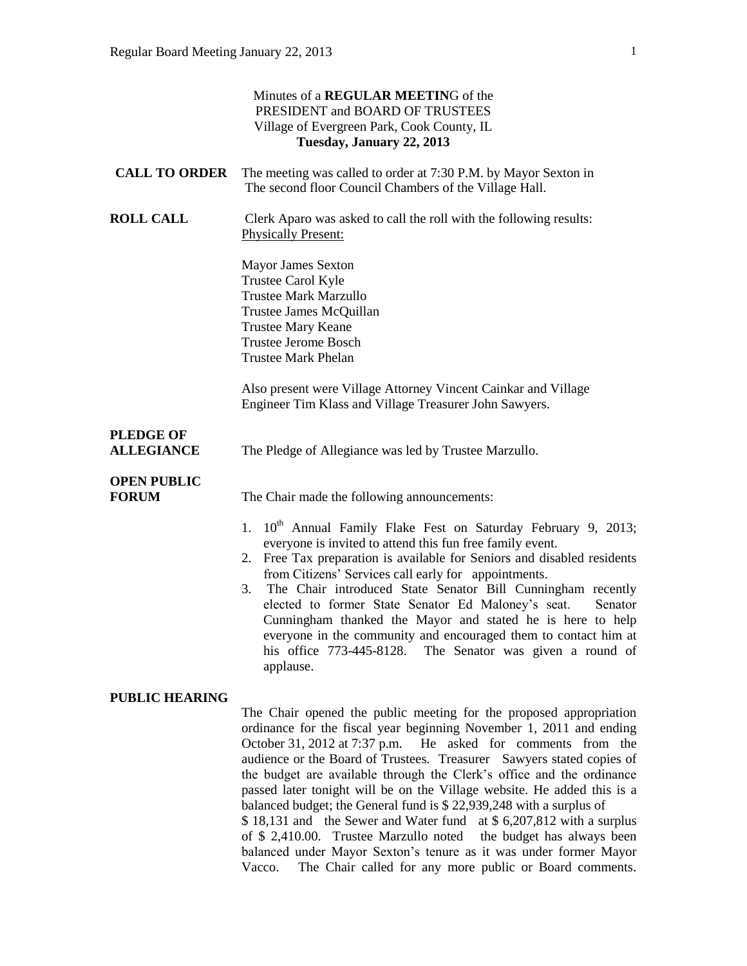|                                       | Minutes of a REGULAR MEETING of the<br>PRESIDENT and BOARD OF TRUSTEES<br>Village of Evergreen Park, Cook County, IL<br>Tuesday, January 22, 2013                                                                                                                                                                                                                                                                                                                                                                                                                                                                                                                          |
|---------------------------------------|----------------------------------------------------------------------------------------------------------------------------------------------------------------------------------------------------------------------------------------------------------------------------------------------------------------------------------------------------------------------------------------------------------------------------------------------------------------------------------------------------------------------------------------------------------------------------------------------------------------------------------------------------------------------------|
| <b>CALL TO ORDER</b>                  | The meeting was called to order at 7:30 P.M. by Mayor Sexton in<br>The second floor Council Chambers of the Village Hall.                                                                                                                                                                                                                                                                                                                                                                                                                                                                                                                                                  |
| <b>ROLL CALL</b>                      | Clerk Aparo was asked to call the roll with the following results:<br><b>Physically Present:</b>                                                                                                                                                                                                                                                                                                                                                                                                                                                                                                                                                                           |
|                                       | <b>Mayor James Sexton</b><br>Trustee Carol Kyle<br><b>Trustee Mark Marzullo</b><br>Trustee James McQuillan<br><b>Trustee Mary Keane</b><br><b>Trustee Jerome Bosch</b><br><b>Trustee Mark Phelan</b>                                                                                                                                                                                                                                                                                                                                                                                                                                                                       |
|                                       | Also present were Village Attorney Vincent Cainkar and Village<br>Engineer Tim Klass and Village Treasurer John Sawyers.                                                                                                                                                                                                                                                                                                                                                                                                                                                                                                                                                   |
| <b>PLEDGE OF</b><br><b>ALLEGIANCE</b> | The Pledge of Allegiance was led by Trustee Marzullo.                                                                                                                                                                                                                                                                                                                                                                                                                                                                                                                                                                                                                      |
| <b>OPEN PUBLIC</b><br><b>FORUM</b>    | The Chair made the following announcements:<br>1. 10 <sup>th</sup> Annual Family Flake Fest on Saturday February 9, 2013;<br>everyone is invited to attend this fun free family event.<br>2. Free Tax preparation is available for Seniors and disabled residents<br>from Citizens' Services call early for appointments.<br>The Chair introduced State Senator Bill Cunningham recently<br>3.<br>elected to former State Senator Ed Maloney's seat.<br>Senator<br>Cunningham thanked the Mayor and stated he is here to help<br>everyone in the community and encouraged them to contact him at<br>his office 773-445-8128. The Senator was given a round of<br>applause. |
| <b>PUBLIC HEARING</b>                 | The Chair opened the public meeting for the proposed appropriation<br>ordinance for the fiscal year beginning November 1, 2011 and ending<br>October 31, 2012 at 7:37 p.m.<br>He asked for comments from the<br>audience or the Board of Trustees. Treasurer Sawyers stated copies of<br>the budget are available through the Clerk's office and the ordinance<br>passed later tonight will be on the Village website. He added this is a<br>balanced budget; the General fund is \$ 22,939,248 with a surplus of                                                                                                                                                          |

\$ 18,131 and the Sewer and Water fund at \$ 6,207,812 with a surplus of \$ 2,410.00. Trustee Marzullo noted the budget has always been balanced under Mayor Sexton's tenure as it was under former Mayor Vacco. The Chair called for any more public or Board comments.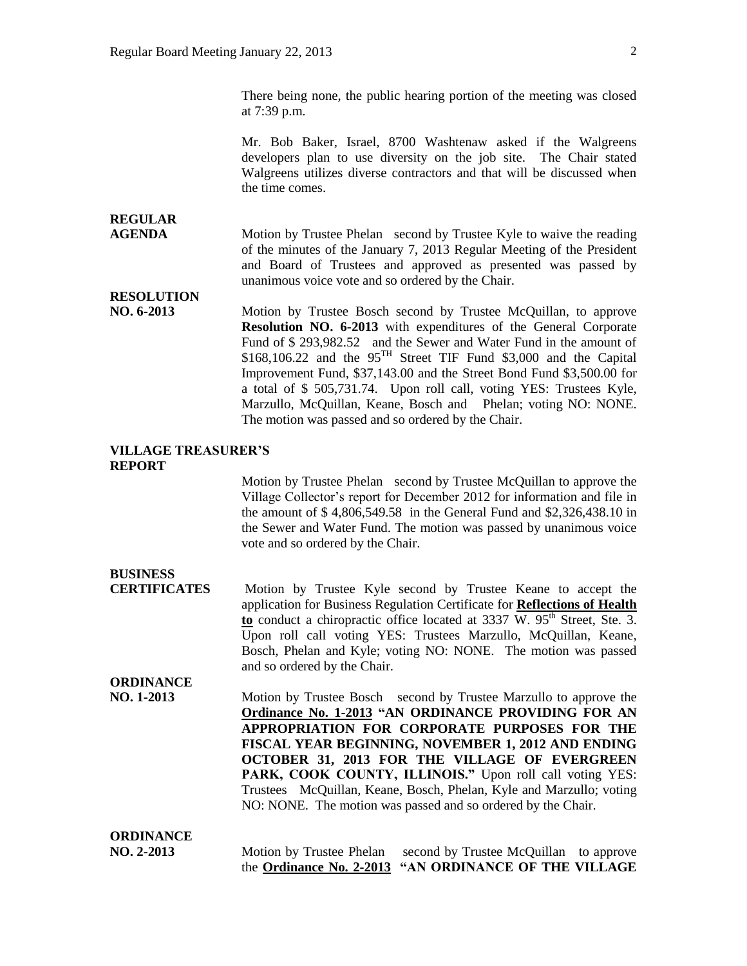There being none, the public hearing portion of the meeting was closed at 7:39 p.m.

Mr. Bob Baker, Israel, 8700 Washtenaw asked if the Walgreens developers plan to use diversity on the job site. The Chair stated Walgreens utilizes diverse contractors and that will be discussed when the time comes.

## **REGULAR**

**AGENDA** Motion by Trustee Phelan second by Trustee Kyle to waive the reading of the minutes of the January 7, 2013 Regular Meeting of the President and Board of Trustees and approved as presented was passed by unanimous voice vote and so ordered by the Chair.

**RESOLUTION** 

**NO. 6-2013** Motion by Trustee Bosch second by Trustee McQuillan, to approve **Resolution NO. 6-2013** with expenditures of the General Corporate Fund of \$ 293,982.52 and the Sewer and Water Fund in the amount of  $$168,106.22$  and the  $95^{TH}$  Street TIF Fund \$3,000 and the Capital Improvement Fund, \$37,143.00 and the Street Bond Fund \$3,500.00 for a total of \$ 505,731.74. Upon roll call, voting YES: Trustees Kyle, Marzullo, McQuillan, Keane, Bosch and Phelan; voting NO: NONE. The motion was passed and so ordered by the Chair.

#### **VILLAGE TREASURER'S REPORT**

Motion by Trustee Phelan second by Trustee McQuillan to approve the Village Collector's report for December 2012 for information and file in the amount of \$ 4,806,549.58 in the General Fund and \$2,326,438.10 in the Sewer and Water Fund. The motion was passed by unanimous voice vote and so ordered by the Chair.

### **BUSINESS**

**ORDINANCE**

**CERTIFICATES** Motion by Trustee Kyle second by Trustee Keane to accept the application for Business Regulation Certificate for **Reflections of Health to** conduct a chiropractic office located at 3337 W. 95<sup>th</sup> Street, Ste. 3. Upon roll call voting YES: Trustees Marzullo, McQuillan, Keane, Bosch, Phelan and Kyle; voting NO: NONE. The motion was passed and so ordered by the Chair.

**NO. 1-2013** Motion by Trustee Bosch second by Trustee Marzullo to approve the **Ordinance No. 1-2013 "AN ORDINANCE PROVIDING FOR AN APPROPRIATION FOR CORPORATE PURPOSES FOR THE FISCAL YEAR BEGINNING, NOVEMBER 1, 2012 AND ENDING OCTOBER 31, 2013 FOR THE VILLAGE OF EVERGREEN**  PARK, COOK COUNTY, ILLINOIS." Upon roll call voting YES: Trustees McQuillan, Keane, Bosch, Phelan, Kyle and Marzullo; voting NO: NONE. The motion was passed and so ordered by the Chair.

| <b>ORDINANCE</b> |                                                                 |  |
|------------------|-----------------------------------------------------------------|--|
| $NO. 2-2013$     | Motion by Trustee Phelan second by Trustee McQuillan to approve |  |
|                  | the Ordinance No. 2-2013 "AN ORDINANCE OF THE VILLAGE           |  |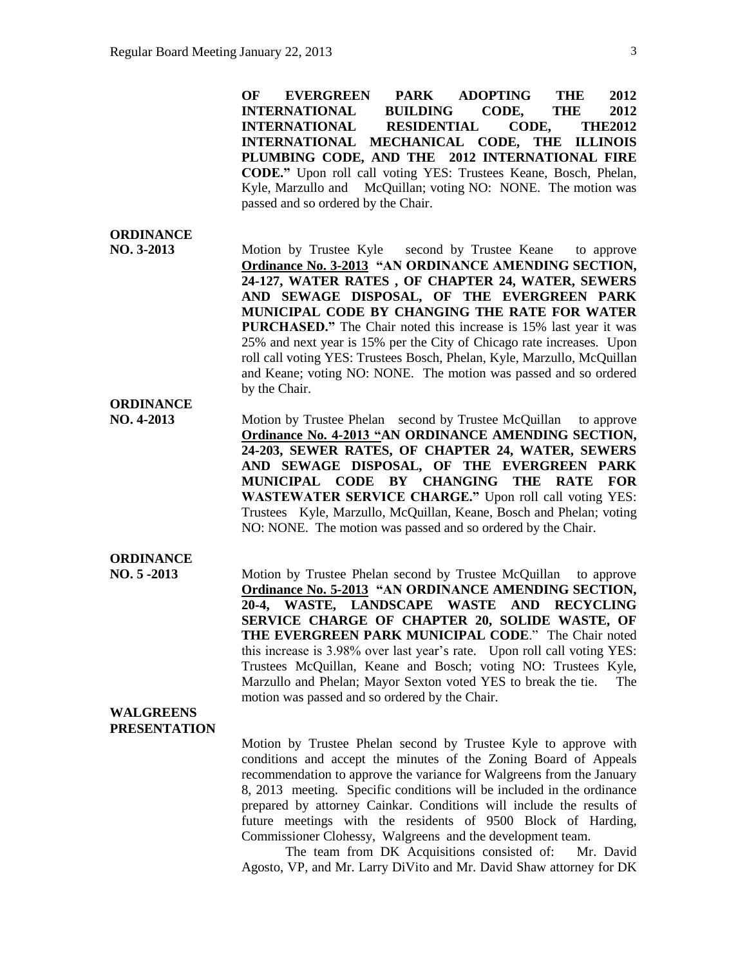**OF EVERGREEN PARK ADOPTING THE 2012 INTERNATIONAL BUILDING CODE, THE 2012 INTERNATIONAL RESIDENTIAL CODE, THE2012 INTERNATIONAL MECHANICAL CODE, THE ILLINOIS PLUMBING CODE, AND THE 2012 INTERNATIONAL FIRE CODE."** Upon roll call voting YES: Trustees Keane, Bosch, Phelan, Kyle, Marzullo and McQuillan; voting NO: NONE. The motion was passed and so ordered by the Chair.

#### **ORDINANCE**

**NO. 3-2013** Motion by Trustee Kyle second by Trustee Keane to approve **Ordinance No. 3-2013 "AN ORDINANCE AMENDING SECTION, 24-127, WATER RATES , OF CHAPTER 24, WATER, SEWERS AND SEWAGE DISPOSAL, OF THE EVERGREEN PARK MUNICIPAL CODE BY CHANGING THE RATE FOR WATER PURCHASED."** The Chair noted this increase is 15% last year it was 25% and next year is 15% per the City of Chicago rate increases. Upon roll call voting YES: Trustees Bosch, Phelan, Kyle, Marzullo, McQuillan and Keane; voting NO: NONE. The motion was passed and so ordered by the Chair. **ORDINANCE**

**NO. 4-2013** Motion by Trustee Phelan second by Trustee McQuillan to approve **Ordinance No. 4-2013 "AN ORDINANCE AMENDING SECTION, 24-203, SEWER RATES, OF CHAPTER 24, WATER, SEWERS AND SEWAGE DISPOSAL, OF THE EVERGREEN PARK MUNICIPAL CODE BY CHANGING THE RATE FOR WASTEWATER SERVICE CHARGE."** Upon roll call voting YES: Trustees Kyle, Marzullo, McQuillan, Keane, Bosch and Phelan; voting NO: NONE. The motion was passed and so ordered by the Chair.

**ORDINANCE**

**NO. 5 -2013** Motion by Trustee Phelan second by Trustee McQuillan to approve **Ordinance No. 5-2013 "AN ORDINANCE AMENDING SECTION, 20-4, WASTE, LANDSCAPE WASTE AND RECYCLING SERVICE CHARGE OF CHAPTER 20, SOLIDE WASTE, OF THE EVERGREEN PARK MUNICIPAL CODE**." The Chair noted this increase is 3.98% over last year's rate. Upon roll call voting YES: Trustees McQuillan, Keane and Bosch; voting NO: Trustees Kyle, Marzullo and Phelan; Mayor Sexton voted YES to break the tie. The motion was passed and so ordered by the Chair.

#### **WALGREENS PRESENTATION**

Motion by Trustee Phelan second by Trustee Kyle to approve with conditions and accept the minutes of the Zoning Board of Appeals recommendation to approve the variance for Walgreens from the January 8, 2013 meeting. Specific conditions will be included in the ordinance prepared by attorney Cainkar. Conditions will include the results of future meetings with the residents of 9500 Block of Harding, Commissioner Clohessy, Walgreens and the development team.

The team from DK Acquisitions consisted of: Mr. David Agosto, VP, and Mr. Larry DiVito and Mr. David Shaw attorney for DK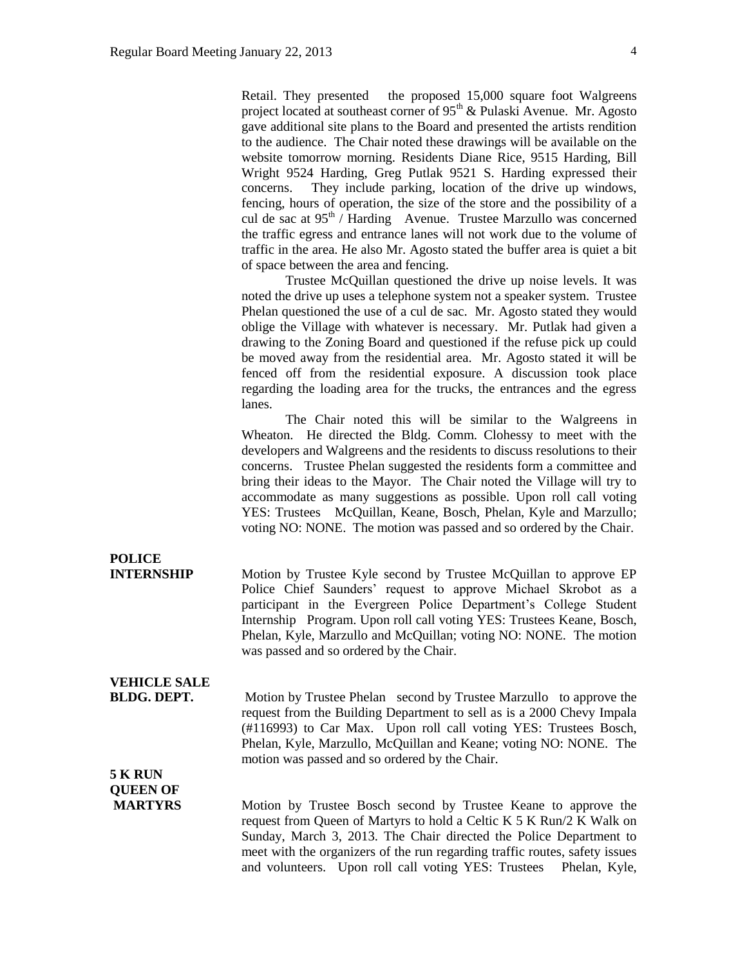Retail. They presented the proposed 15,000 square foot Walgreens project located at southeast corner of 95<sup>th</sup> & Pulaski Avenue. Mr. Agosto gave additional site plans to the Board and presented the artists rendition to the audience. The Chair noted these drawings will be available on the website tomorrow morning. Residents Diane Rice, 9515 Harding, Bill Wright 9524 Harding, Greg Putlak 9521 S. Harding expressed their concerns. They include parking, location of the drive up windows, fencing, hours of operation, the size of the store and the possibility of a cul de sac at  $95<sup>th</sup>$  / Harding Avenue. Trustee Marzullo was concerned the traffic egress and entrance lanes will not work due to the volume of traffic in the area. He also Mr. Agosto stated the buffer area is quiet a bit of space between the area and fencing.

Trustee McQuillan questioned the drive up noise levels. It was noted the drive up uses a telephone system not a speaker system. Trustee Phelan questioned the use of a cul de sac. Mr. Agosto stated they would oblige the Village with whatever is necessary. Mr. Putlak had given a drawing to the Zoning Board and questioned if the refuse pick up could be moved away from the residential area. Mr. Agosto stated it will be fenced off from the residential exposure. A discussion took place regarding the loading area for the trucks, the entrances and the egress lanes.

The Chair noted this will be similar to the Walgreens in Wheaton. He directed the Bldg. Comm. Clohessy to meet with the developers and Walgreens and the residents to discuss resolutions to their concerns. Trustee Phelan suggested the residents form a committee and bring their ideas to the Mayor. The Chair noted the Village will try to accommodate as many suggestions as possible. Upon roll call voting YES: Trustees McQuillan, Keane, Bosch, Phelan, Kyle and Marzullo; voting NO: NONE. The motion was passed and so ordered by the Chair.

**INTERNSHIP** Motion by Trustee Kyle second by Trustee McQuillan to approve EP Police Chief Saunders' request to approve Michael Skrobot as a participant in the Evergreen Police Department's College Student Internship Program. Upon roll call voting YES: Trustees Keane, Bosch, Phelan, Kyle, Marzullo and McQuillan; voting NO: NONE. The motion was passed and so ordered by the Chair.

# **VEHICLE SALE**

**POLICE**

**BLDG. DEPT.** Motion by Trustee Phelan second by Trustee Marzullo to approve the request from the Building Department to sell as is a 2000 Chevy Impala (#116993) to Car Max. Upon roll call voting YES: Trustees Bosch, Phelan, Kyle, Marzullo, McQuillan and Keane; voting NO: NONE. The motion was passed and so ordered by the Chair.

### **5 K RUN QUEEN OF**

**MARTYRS** Motion by Trustee Bosch second by Trustee Keane to approve the request from Queen of Martyrs to hold a Celtic K 5 K Run/2 K Walk on Sunday, March 3, 2013. The Chair directed the Police Department to meet with the organizers of the run regarding traffic routes, safety issues and volunteers. Upon roll call voting YES: Trustees Phelan, Kyle,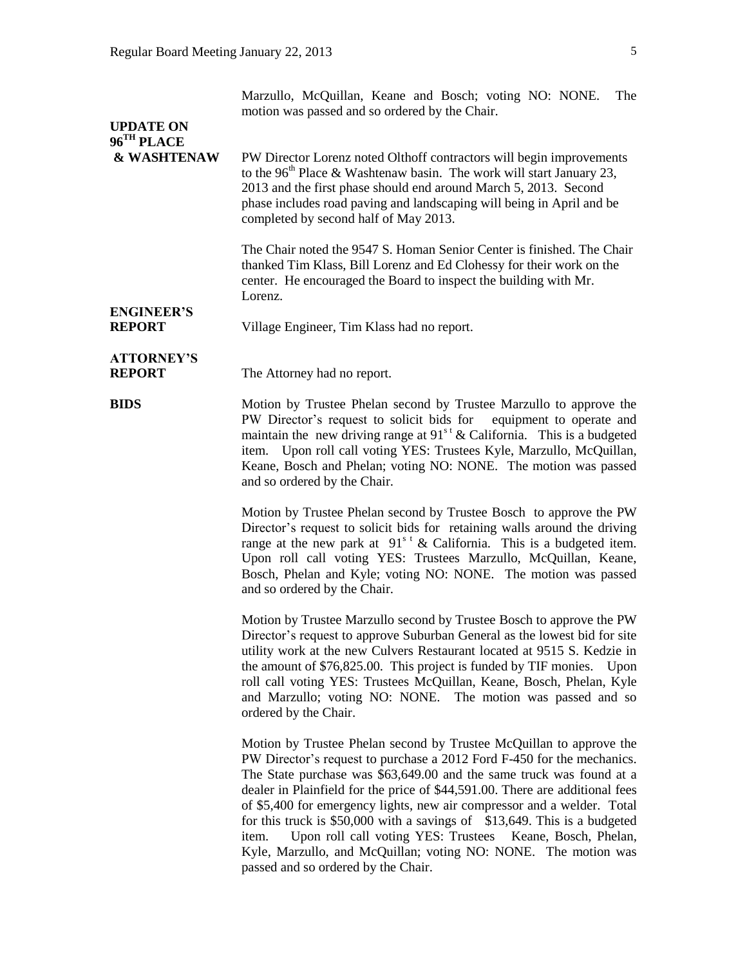| <b>UPDATE ON</b>                      | Marzullo, McQuillan, Keane and Bosch; voting NO: NONE.<br>The<br>motion was passed and so ordered by the Chair.                                                                                                                                                                                                                                                                                                                                                                                                                                                                                       |  |
|---------------------------------------|-------------------------------------------------------------------------------------------------------------------------------------------------------------------------------------------------------------------------------------------------------------------------------------------------------------------------------------------------------------------------------------------------------------------------------------------------------------------------------------------------------------------------------------------------------------------------------------------------------|--|
| 96 <sup>TH</sup> PLACE<br>& WASHTENAW | PW Director Lorenz noted Olthoff contractors will begin improvements<br>to the 96 <sup>th</sup> Place & Washtenaw basin. The work will start January 23,<br>2013 and the first phase should end around March 5, 2013. Second<br>phase includes road paving and landscaping will being in April and be<br>completed by second half of May 2013.                                                                                                                                                                                                                                                        |  |
|                                       | The Chair noted the 9547 S. Homan Senior Center is finished. The Chair<br>thanked Tim Klass, Bill Lorenz and Ed Clohessy for their work on the<br>center. He encouraged the Board to inspect the building with Mr.<br>Lorenz.                                                                                                                                                                                                                                                                                                                                                                         |  |
| <b>ENGINEER'S</b><br><b>REPORT</b>    | Village Engineer, Tim Klass had no report.                                                                                                                                                                                                                                                                                                                                                                                                                                                                                                                                                            |  |
| <b>ATTORNEY'S</b><br><b>REPORT</b>    | The Attorney had no report.                                                                                                                                                                                                                                                                                                                                                                                                                                                                                                                                                                           |  |
| <b>BIDS</b>                           | Motion by Trustee Phelan second by Trustee Marzullo to approve the<br>PW Director's request to solicit bids for equipment to operate and<br>maintain the new driving range at $91st$ & California. This is a budgeted<br>item. Upon roll call voting YES: Trustees Kyle, Marzullo, McQuillan,<br>Keane, Bosch and Phelan; voting NO: NONE. The motion was passed<br>and so ordered by the Chair.                                                                                                                                                                                                      |  |
|                                       | Motion by Trustee Phelan second by Trustee Bosch to approve the PW<br>Director's request to solicit bids for retaining walls around the driving<br>range at the new park at $91s$ <sup>t</sup> & California. This is a budgeted item.<br>Upon roll call voting YES: Trustees Marzullo, McQuillan, Keane,<br>Bosch, Phelan and Kyle; voting NO: NONE. The motion was passed<br>and so ordered by the Chair.                                                                                                                                                                                            |  |
|                                       | Motion by Trustee Marzullo second by Trustee Bosch to approve the PW<br>Director's request to approve Suburban General as the lowest bid for site<br>utility work at the new Culvers Restaurant located at 9515 S. Kedzie in<br>the amount of \$76,825.00. This project is funded by TIF monies. Upon<br>roll call voting YES: Trustees McQuillan, Keane, Bosch, Phelan, Kyle<br>and Marzullo; voting NO: NONE. The motion was passed and so<br>ordered by the Chair.                                                                                                                                 |  |
|                                       | Motion by Trustee Phelan second by Trustee McQuillan to approve the<br>PW Director's request to purchase a 2012 Ford F-450 for the mechanics.<br>The State purchase was \$63,649.00 and the same truck was found at a<br>dealer in Plainfield for the price of \$44,591.00. There are additional fees<br>of \$5,400 for emergency lights, new air compressor and a welder. Total<br>for this truck is \$50,000 with a savings of \$13,649. This is a budgeted<br>Upon roll call voting YES: Trustees Keane, Bosch, Phelan,<br>item.<br>Kyle, Marzullo, and McQuillan; voting NO: NONE. The motion was |  |

passed and so ordered by the Chair.